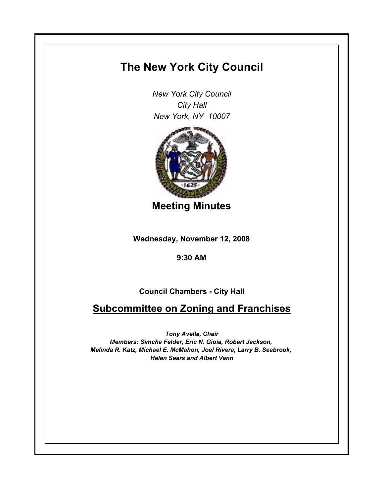## **The New York City Council**

*New York City Council City Hall New York, NY 10007*



**Meeting Minutes**

**Wednesday, November 12, 2008**

**9:30 AM**

**Council Chambers - City Hall**

**Subcommittee on Zoning and Franchises**

*Tony Avella, Chair Members: Simcha Felder, Eric N. Gioia, Robert Jackson, Melinda R. Katz, Michael E. McMahon, Joel Rivera, Larry B. Seabrook, Helen Sears and Albert Vann*